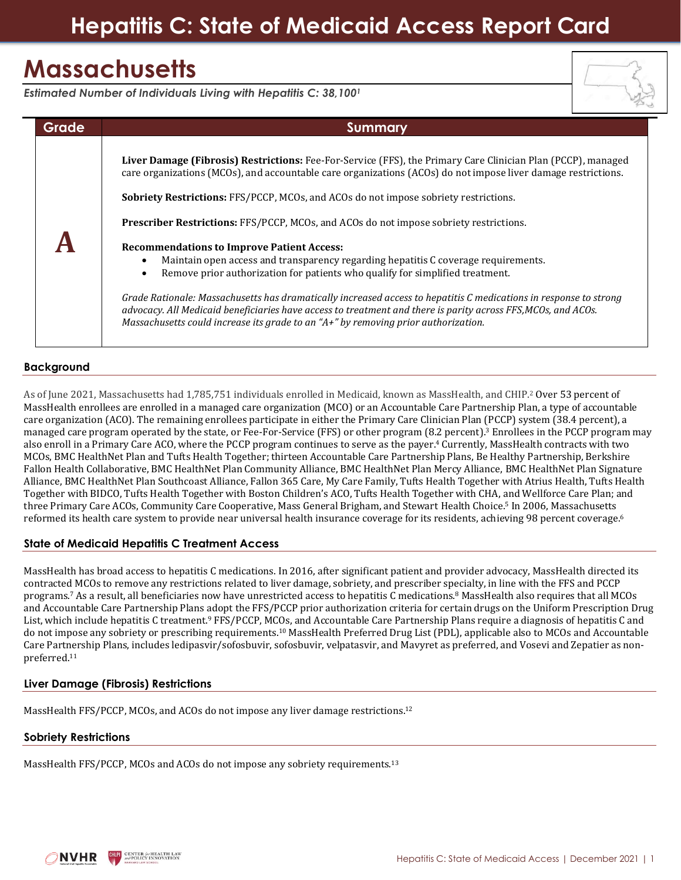# **Hepatitis C: State of Medicaid Access Report Card**

# **Massachusetts**

*Estimated Number of Individuals Living with Hepatitis C: 38,100<sup>1</sup>*



| Summary                                                                                                                                                                                                                                                                                                                                                                                                                                                                                                                                                                                                                                                                                                                                                                                                                                                                                                                                                                               |
|---------------------------------------------------------------------------------------------------------------------------------------------------------------------------------------------------------------------------------------------------------------------------------------------------------------------------------------------------------------------------------------------------------------------------------------------------------------------------------------------------------------------------------------------------------------------------------------------------------------------------------------------------------------------------------------------------------------------------------------------------------------------------------------------------------------------------------------------------------------------------------------------------------------------------------------------------------------------------------------|
| Liver Damage (Fibrosis) Restrictions: Fee-For-Service (FFS), the Primary Care Clinician Plan (PCCP), managed<br>care organizations (MCOs), and accountable care organizations (ACOs) do not impose liver damage restrictions.<br><b>Sobriety Restrictions: FFS/PCCP, MCOs, and ACOs do not impose sobriety restrictions.</b><br><b>Prescriber Restrictions:</b> FFS/PCCP, MCOs, and ACOs do not impose sobriety restrictions.<br><b>Recommendations to Improve Patient Access:</b><br>Maintain open access and transparency regarding hepatitis C coverage requirements.<br>Remove prior authorization for patients who qualify for simplified treatment.<br>Grade Rationale: Massachusetts has dramatically increased access to hepatitis C medications in response to strong<br>advocacy. All Medicaid beneficiaries have access to treatment and there is parity across FFS, MCOs, and ACOs.<br>Massachusetts could increase its grade to an "A+" by removing prior authorization. |
|                                                                                                                                                                                                                                                                                                                                                                                                                                                                                                                                                                                                                                                                                                                                                                                                                                                                                                                                                                                       |

# **Background**

As of June 2021, Massachusetts had 1,785,751 individuals enrolled in Medicaid, known as MassHealth, and CHIP.<sup>2</sup> Over 53 percent of MassHealth enrollees are enrolled in a managed care organization (MCO) or an Accountable Care Partnership Plan, a type of accountable care organization (ACO). The remaining enrollees participate in either the Primary Care Clinician Plan (PCCP) system (38.4 percent), a managed care program operated by the state, or Fee-For-Service (FFS) or other program (8.2 percent). <sup>3</sup> Enrollees in the PCCP program may also enroll in a Primary Care ACO, where the PCCP program continues to serve as the payer. <sup>4</sup> Currently, MassHealth contracts with two MCOs, BMC HealthNet Plan and Tufts Health Together; thirteen Accountable Care Partnership Plans, Be Healthy Partnership, Berkshire Fallon Health Collaborative, BMC HealthNet Plan Community Alliance, BMC HealthNet Plan Mercy Alliance, BMC HealthNet Plan Signature Alliance, BMC HealthNet Plan Southcoast Alliance, Fallon 365 Care, My Care Family, Tufts Health Together with Atrius Health, Tufts Health Together with BIDCO, Tufts Health Together with Boston Children's ACO, Tufts Health Together with CHA, and Wellforce Care Plan; and three Primary Care ACOs, Community Care Cooperative, Mass General Brigham, and Stewart Health Choice.<sup>5</sup> In 2006, Massachusetts reformed its health care system to provide near universal health insurance coverage for its residents, achieving 98 percent coverage. 6

# **State of Medicaid Hepatitis C Treatment Access**

MassHealth has broad access to hepatitis C medications. In 2016, after significant patient and provider advocacy, MassHealth directed its contracted MCOs to remove any restrictions related to liver damage, sobriety, and prescriber specialty, in line with the FFS and PCCP programs.<sup>7</sup> As a result, all beneficiaries now have unrestricted access to hepatitis C medications.<sup>8</sup> MassHealth also requires that all MCOs and Accountable Care Partnership Plans adopt the FFS/PCCP prior authorization criteria for certain drugs on the Uniform Prescription Drug List, which include hepatitis C treatment.<sup>9</sup> FFS/PCCP, MCOs, and Accountable Care Partnership Plans require a diagnosis of hepatitis C and do not impose any sobriety or prescribing requirements.<sup>10</sup> MassHealth Preferred Drug List (PDL), applicable also to MCOs and Accountable Care Partnership Plans, includes ledipasvir/sofosbuvir, sofosbuvir, velpatasvir, and Mavyret as preferred, and Vosevi and Zepatier as nonpreferred.<sup>11</sup>

# **Liver Damage (Fibrosis) Restrictions**

MassHealth FFS/PCCP, MCOs, and ACOs do not impose any liver damage restrictions.<sup>12</sup>

## **Sobriety Restrictions**

MassHealth FFS/PCCP, MCOs and ACOs do not impose any sobriety requirements.<sup>13</sup>